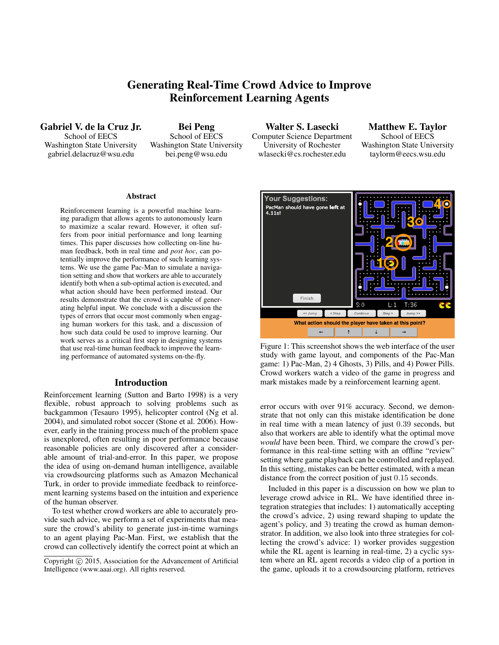# Generating Real-Time Crowd Advice to Improve Reinforcement Learning Agents

Gabriel V. de la Cruz Jr. School of EECS Washington State University gabriel.delacruz@wsu.edu

Bei Peng School of EECS Washington State University bei.peng@wsu.edu

Walter S. Lasecki Computer Science Department University of Rochester wlasecki@cs.rochester.edu

Matthew E. Taylor School of EECS Washington State University taylorm@eecs.wsu.edu

#### Abstract

Reinforcement learning is a powerful machine learning paradigm that allows agents to autonomously learn to maximize a scalar reward. However, it often suffers from poor initial performance and long learning times. This paper discusses how collecting on-line human feedback, both in real time and *post hoc*, can potentially improve the performance of such learning systems. We use the game Pac-Man to simulate a navigation setting and show that workers are able to accurately identify both when a sub-optimal action is executed, and what action should have been performed instead. Our results demonstrate that the crowd is capable of generating helpful input. We conclude with a discussion the types of errors that occur most commonly when engaging human workers for this task, and a discussion of how such data could be used to improve learning. Our work serves as a critical first step in designing systems that use real-time human feedback to improve the learning performance of automated systems on-the-fly.

# Introduction

Reinforcement learning (Sutton and Barto 1998) is a very flexible, robust approach to solving problems such as backgammon (Tesauro 1995), helicopter control (Ng et al. 2004), and simulated robot soccer (Stone et al. 2006). However, early in the training process much of the problem space is unexplored, often resulting in poor performance because reasonable policies are only discovered after a considerable amount of trial-and-error. In this paper, we propose the idea of using on-demand human intelligence, available via crowdsourcing platforms such as Amazon Mechanical Turk, in order to provide immediate feedback to reinforcement learning systems based on the intuition and experience of the human observer.

To test whether crowd workers are able to accurately provide such advice, we perform a set of experiments that measure the crowd's ability to generate just-in-time warnings to an agent playing Pac-Man. First, we establish that the crowd can collectively identify the correct point at which an



Figure 1: This screenshot shows the web interface of the user study with game layout, and components of the Pac-Man game: 1) Pac-Man, 2) 4 Ghosts, 3) Pills, and 4) Power Pills. Crowd workers watch a video of the game in progress and mark mistakes made by a reinforcement learning agent.

error occurs with over 91% accuracy. Second, we demonstrate that not only can this mistake identification be done in real time with a mean latency of just 0.39 seconds, but also that workers are able to identify what the optimal move *would* have been been. Third, we compare the crowd's performance in this real-time setting with an offline "review" setting where game playback can be controlled and replayed. In this setting, mistakes can be better estimated, with a mean distance from the correct position of just 0.15 seconds.

Included in this paper is a discussion on how we plan to leverage crowd advice in RL. We have identified three integration strategies that includes: 1) automatically accepting the crowd's advice, 2) using reward shaping to update the agent's policy, and 3) treating the crowd as human demonstrator. In addition, we also look into three strategies for collecting the crowd's advice: 1) worker provides suggestion while the RL agent is learning in real-time, 2) a cyclic system where an RL agent records a video clip of a portion in the game, uploads it to a crowdsourcing platform, retrieves

Copyright  $\odot$  2015, Association for the Advancement of Artificial Intelligence (www.aaai.org). All rights reserved.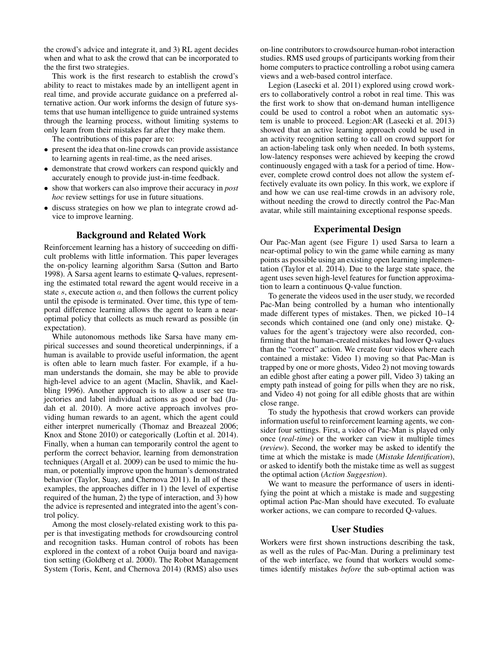the crowd's advice and integrate it, and 3) RL agent decides when and what to ask the crowd that can be incorporated to the the first two strategies.

This work is the first research to establish the crowd's ability to react to mistakes made by an intelligent agent in real time, and provide accurate guidance on a preferred alternative action. Our work informs the design of future systems that use human intelligence to guide untrained systems through the learning process, without limiting systems to only learn from their mistakes far after they make them.

The contributions of this paper are to:

- present the idea that on-line crowds can provide assistance to learning agents in real-time, as the need arises.
- demonstrate that crowd workers can respond quickly and accurately enough to provide just-in-time feedback.
- show that workers can also improve their accuracy in *post hoc* review settings for use in future situations.
- discuss strategies on how we plan to integrate crowd advice to improve learning.

# Background and Related Work

Reinforcement learning has a history of succeeding on difficult problems with little information. This paper leverages the on-policy learning algorithm Sarsa (Sutton and Barto 1998). A Sarsa agent learns to estimate Q-values, representing the estimated total reward the agent would receive in a state s, execute action  $a$ , and then follows the current policy until the episode is terminated. Over time, this type of temporal difference learning allows the agent to learn a nearoptimal policy that collects as much reward as possible (in expectation).

While autonomous methods like Sarsa have many empirical successes and sound theoretical underpinnings, if a human is available to provide useful information, the agent is often able to learn much faster. For example, if a human understands the domain, she may be able to provide high-level advice to an agent (Maclin, Shavlik, and Kaelbling 1996). Another approach is to allow a user see trajectories and label individual actions as good or bad (Judah et al. 2010). A more active approach involves providing human rewards to an agent, which the agent could either interpret numerically (Thomaz and Breazeal 2006; Knox and Stone 2010) or categorically (Loftin et al. 2014). Finally, when a human can temporarily control the agent to perform the correct behavior, learning from demonstration techniques (Argall et al. 2009) can be used to mimic the human, or potentially improve upon the human's demonstrated behavior (Taylor, Suay, and Chernova 2011). In all of these examples, the approaches differ in 1) the level of expertise required of the human, 2) the type of interaction, and 3) how the advice is represented and integrated into the agent's control policy.

Among the most closely-related existing work to this paper is that investigating methods for crowdsourcing control and recognition tasks. Human control of robots has been explored in the context of a robot Ouija board and navigation setting (Goldberg et al. 2000). The Robot Management System (Toris, Kent, and Chernova 2014) (RMS) also uses

on-line contributors to crowdsource human-robot interaction studies. RMS used groups of participants working from their home computers to practice controlling a robot using camera views and a web-based control interface.

Legion (Lasecki et al. 2011) explored using crowd workers to collaboratively control a robot in real time. This was the first work to show that on-demand human intelligence could be used to control a robot when an automatic system is unable to proceed. Legion:AR (Lasecki et al. 2013) showed that an active learning approach could be used in an activity recognition setting to call on crowd support for an action-labeling task only when needed. In both systems, low-latency responses were achieved by keeping the crowd continuously engaged with a task for a period of time. However, complete crowd control does not allow the system effectively evaluate its own policy. In this work, we explore if and how we can use real-time crowds in an advisory role, without needing the crowd to directly control the Pac-Man avatar, while still maintaining exceptional response speeds.

# Experimental Design

Our Pac-Man agent (see Figure 1) used Sarsa to learn a near-optimal policy to win the game while earning as many points as possible using an existing open learning implementation (Taylor et al. 2014). Due to the large state space, the agent uses seven high-level features for function approximation to learn a continuous Q-value function.

To generate the videos used in the user study, we recorded Pac-Man being controlled by a human who intentionally made different types of mistakes. Then, we picked 10–14 seconds which contained one (and only one) mistake. Qvalues for the agent's trajectory were also recorded, confirming that the human-created mistakes had lower Q-values than the "correct" action. We create four videos where each contained a mistake: Video 1) moving so that Pac-Man is trapped by one or more ghosts, Video 2) not moving towards an edible ghost after eating a power pill, Video 3) taking an empty path instead of going for pills when they are no risk, and Video 4) not going for all edible ghosts that are within close range.

To study the hypothesis that crowd workers can provide information useful to reinforcement learning agents, we consider four settings. First, a video of Pac-Man is played only once (*real-time*) or the worker can view it multiple times (*review*). Second, the worker may be asked to identify the time at which the mistake is made (*Mistake Identification*), or asked to identify both the mistake time as well as suggest the optimal action (*Action Suggestion*).

We want to measure the performance of users in identifying the point at which a mistake is made and suggesting optimal action Pac-Man should have executed. To evaluate worker actions, we can compare to recorded Q-values.

### User Studies

Workers were first shown instructions describing the task, as well as the rules of Pac-Man. During a preliminary test of the web interface, we found that workers would sometimes identify mistakes *before* the sub-optimal action was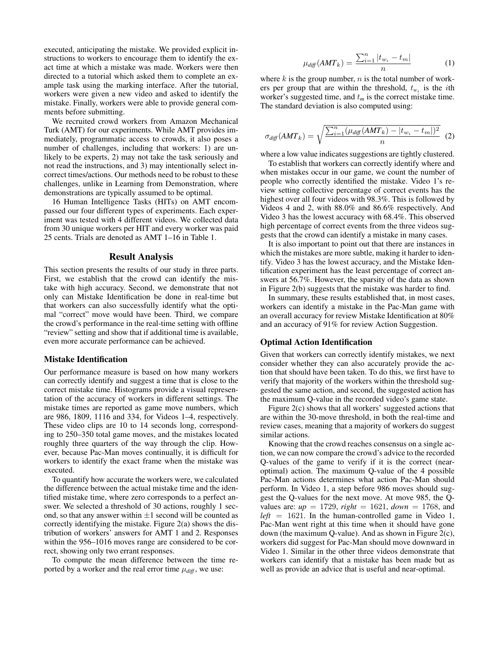executed, anticipating the mistake. We provided explicit instructions to workers to encourage them to identify the exact time at which a mistake was made. Workers were then directed to a tutorial which asked them to complete an example task using the marking interface. After the tutorial, workers were given a new video and asked to identify the mistake. Finally, workers were able to provide general comments before submitting.

We recruited crowd workers from Amazon Mechanical Turk (AMT) for our experiments. While AMT provides immediately, programmatic access to crowds, it also poses a number of challenges, including that workers: 1) are unlikely to be experts, 2) may not take the task seriously and not read the instructions, and 3) may intentionally select incorrect times/actions. Our methods need to be robust to these challenges, unlike in Learning from Demonstration, where demonstrations are typically assumed to be optimal.

16 Human Intelligence Tasks (HITs) on AMT encompassed our four different types of experiments. Each experiment was tested with 4 different videos. We collected data from 30 unique workers per HIT and every worker was paid 25 cents. Trials are denoted as AMT 1–16 in Table 1.

#### Result Analysis

This section presents the results of our study in three parts. First, we establish that the crowd can identify the mistake with high accuracy. Second, we demonstrate that not only can Mistake Identification be done in real-time but that workers can also successfully identify what the optimal "correct" move would have been. Third, we compare the crowd's performance in the real-time setting with offline "review" setting and show that if additional time is available, even more accurate performance can be achieved.

#### Mistake Identification

Our performance measure is based on how many workers can correctly identify and suggest a time that is close to the correct mistake time. Histograms provide a visual representation of the accuracy of workers in different settings. The mistake times are reported as game move numbers, which are 986, 1809, 1116 and 334, for Videos 1–4, respectively. These video clips are 10 to 14 seconds long, corresponding to 250–350 total game moves, and the mistakes located roughly three quarters of the way through the clip. However, because Pac-Man moves continually, it is difficult for workers to identify the exact frame when the mistake was executed.

To quantify how accurate the workers were, we calculated the difference between the actual mistake time and the identified mistake time, where zero corresponds to a perfect answer. We selected a threshold of 30 actions, roughly 1 second, so that any answer within  $\pm 1$  second will be counted as correctly identifying the mistake. Figure 2(a) shows the distribution of workers' answers for AMT 1 and 2. Responses within the 956–1016 moves range are considered to be correct, showing only two errant responses.

To compute the mean difference between the time reported by a worker and the real error time  $\mu_{diff}$ , we use:

$$
\mu_{diff}(AMT_k) = \frac{\sum_{i=1}^{n} |t_{w_i} - t_m|}{n}
$$
 (1)

where  $k$  is the group number,  $n$  is the total number of workers per group that are within the threshold,  $t_{w_i}$  is the *i*th worker's suggested time, and  $t_m$  is the correct mistake time. The standard deviation is also computed using:

$$
\sigma_{diff}(AMT_k) = \sqrt{\frac{\sum_{i=1}^{n}(\mu_{diff}(AMT_k) - |t_{w_i} - t_m|)^2}{n}} \tag{2}
$$

where a low value indicates suggestions are tightly clustered.

To establish that workers can correctly identify where and when mistakes occur in our game, we count the number of people who correctly identified the mistake. Video 1's review setting collective percentage of correct events has the highest over all four videos with 98.3%. This is followed by Videos 4 and 2, with 88.0% and 86.6% respectively. And Video 3 has the lowest accuracy with 68.4%. This observed high percentage of correct events from the three videos suggests that the crowd can identify a mistake in many cases.

It is also important to point out that there are instances in which the mistakes are more subtle, making it harder to identify. Video 3 has the lowest accuracy, and the Mistake Identification experiment has the least percentage of correct answers at 56.7%. However, the sparsity of the data as shown in Figure 2(b) suggests that the mistake was harder to find.

In summary, these results established that, in most cases, workers can identify a mistake in the Pac-Man game with an overall accuracy for review Mistake Identification at 80% and an accuracy of 91% for review Action Suggestion.

#### Optimal Action Identification

Given that workers can correctly identify mistakes, we next consider whether they can also accurately provide the action that should have been taken. To do this, we first have to verify that majority of the workers within the threshold suggested the same action, and second, the suggested action has the maximum Q-value in the recorded video's game state.

Figure 2(c) shows that all workers' suggested actions that are within the 30-move threshold, in both the real-time and review cases, meaning that a majority of workers do suggest similar actions.

Knowing that the crowd reaches consensus on a single action, we can now compare the crowd's advice to the recorded Q-values of the game to verify if it is the correct (nearoptimal) action. The maximum Q-value of the 4 possible Pac-Man actions determines what action Pac-Man should perform. In Video 1, a step before 986 moves should suggest the Q-values for the next move. At move 985, the Qvalues are:  $up = 1729$ ,  $right = 1621$ ,  $down = 1768$ , and  $left = 1621$ . In the human-controlled game in Video 1, Pac-Man went right at this time when it should have gone down (the maximum Q-value). And as shown in Figure 2(c), workers did suggest for Pac-Man should move downward in Video 1. Similar in the other three videos demonstrate that workers can identify that a mistake has been made but as well as provide an advice that is useful and near-optimal.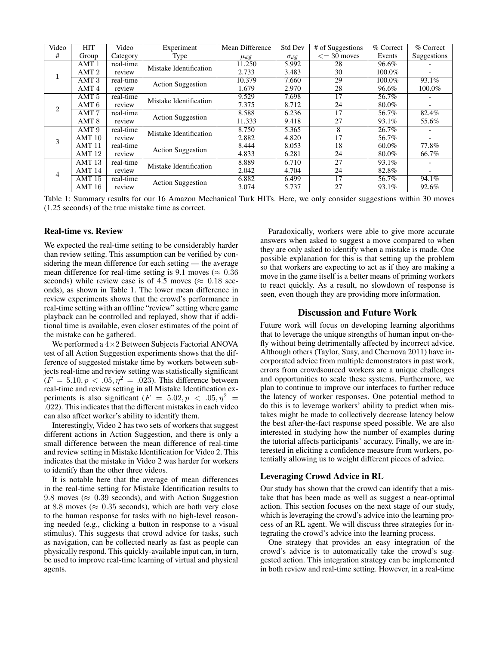| Video          | HIT               | Video     | Experiment               | Mean Difference | <b>Std Dev</b>  | $#$ of Suggestions | % Correct | $%$ Correct              |
|----------------|-------------------|-----------|--------------------------|-----------------|-----------------|--------------------|-----------|--------------------------|
| #              | Group             | Category  | Type                     | $\mu_{diff}$    | $\sigma_{diff}$ | $\leq$ = 30 moves  | Events    | Suggestions              |
| 1              | AMT1              | real-time | Mistake Identification   | 11.250          | 5.992           | 28                 | 96.6%     |                          |
|                | AMT <sub>2</sub>  | review    |                          | 2.733           | 3.483           | 30                 | 100.0%    | $\overline{\phantom{a}}$ |
|                | AMT.3             | real-time | <b>Action Suggestion</b> | 10.379          | 7.660           | 29                 | $100.0\%$ | $93.1\%$                 |
|                | AMT <sub>4</sub>  | review    |                          | 1.679           | 2.970           | 28                 | 96.6%     | 100.0%                   |
| $\overline{2}$ | AMT <sub>5</sub>  | real-time | Mistake Identification   | 9.529           | 7.698           | 17                 | 56.7%     |                          |
|                | AMT <sub>6</sub>  | review    |                          | 7.375           | 8.712           | 24                 | 80.0%     | $\overline{\phantom{0}}$ |
|                | AMT <sub>7</sub>  | real-time | <b>Action Suggestion</b> | 8.588           | 6.236           | 17                 | 56.7%     | 82.4%                    |
|                | AMT <sub>8</sub>  | review    |                          | 11.333          | 9.418           | 27                 | 93.1%     | 55.6%                    |
| 3              | AMT <sub>9</sub>  | real-time | Mistake Identification   | 8.750           | 5.365           | 8                  | 26.7%     |                          |
|                | AMT10             | review    |                          | 2.882           | 4.820           | 17                 | 56.7%     | $\overline{\phantom{a}}$ |
|                | AMT11             | real-time | <b>Action Suggestion</b> | 8.444           | 8.053           | 18                 | $60.0\%$  | 77.8%                    |
|                | AMT <sub>12</sub> | review    |                          | 4.833           | 6.281           | 24                 | 80.0%     | 66.7%                    |
| $\overline{4}$ | AMT13             | real-time | Mistake Identification   | 8.889           | 6.710           | 27                 | 93.1%     |                          |
|                | AMT14             | review    |                          | 2.042           | 4.704           | 24                 | 82.8%     | $\overline{\phantom{0}}$ |
|                | AMT15             | real-time | <b>Action Suggestion</b> | 6.882           | 6.499           | 17                 | 56.7%     | 94.1%                    |
|                | AMT16             | review    |                          | 3.074           | 5.737           | 27                 | 93.1%     | 92.6%                    |

Table 1: Summary results for our 16 Amazon Mechanical Turk HITs. Here, we only consider suggestions within 30 moves (1.25 seconds) of the true mistake time as correct.

#### Real-time vs. Review

We expected the real-time setting to be considerably harder than review setting. This assumption can be verified by considering the mean difference for each setting — the average mean difference for real-time setting is 9.1 moves ( $\approx 0.36$ ) seconds) while review case is of 4.5 moves ( $\approx 0.18$  seconds), as shown in Table 1. The lower mean difference in review experiments shows that the crowd's performance in real-time setting with an offline "review" setting where game playback can be controlled and replayed, show that if additional time is available, even closer estimates of the point of the mistake can be gathered.

We performed a  $4\times 2$  Between Subjects Factorial ANOVA test of all Action Suggestion experiments shows that the difference of suggested mistake time by workers between subjects real-time and review setting was statistically significant  $(F = 5.10, p < .05, \eta^2 = .023)$ . This difference between real-time and review setting in all Mistake Identification experiments is also significant  $(F = 5.02, p < .05, \eta^2 =$ .022). This indicates that the different mistakes in each video can also affect worker's ability to identify them.

Interestingly, Video 2 has two sets of workers that suggest different actions in Action Suggestion, and there is only a small difference between the mean difference of real-time and review setting in Mistake Identification for Video 2. This indicates that the mistake in Video 2 was harder for workers to identify than the other three videos.

It is notable here that the average of mean differences in the real-time setting for Mistake Identification results to 9.8 moves ( $\approx 0.39$  seconds), and with Action Suggestion at 8.8 moves ( $\approx 0.35$  seconds), which are both very close to the human response for tasks with no high-level reasoning needed (e.g., clicking a button in response to a visual stimulus). This suggests that crowd advice for tasks, such as navigation, can be collected nearly as fast as people can physically respond. This quickly-available input can, in turn, be used to improve real-time learning of virtual and physical agents.

Paradoxically, workers were able to give more accurate answers when asked to suggest a move compared to when they are only asked to identify when a mistake is made. One possible explanation for this is that setting up the problem so that workers are expecting to act as if they are making a move in the game itself is a better means of priming workers to react quickly. As a result, no slowdown of response is seen, even though they are providing more information.

## Discussion and Future Work

Future work will focus on developing learning algorithms that to leverage the unique strengths of human input on-thefly without being detrimentally affected by incorrect advice. Although others (Taylor, Suay, and Chernova 2011) have incorporated advice from multiple demonstrators in past work, errors from crowdsourced workers are a unique challenges and opportunities to scale these systems. Furthermore, we plan to continue to improve our interfaces to further reduce the latency of worker responses. One potential method to do this is to leverage workers' ability to predict when mistakes might be made to collectively decrease latency below the best after-the-fact response speed possible. We are also interested in studying how the number of examples during the tutorial affects participants' accuracy. Finally, we are interested in eliciting a confidence measure from workers, potentially allowing us to weight different pieces of advice.

## Leveraging Crowd Advice in RL

Our study has shown that the crowd can identify that a mistake that has been made as well as suggest a near-optimal action. This section focuses on the next stage of our study, which is leveraging the crowd's advice into the learning process of an RL agent. We will discuss three strategies for integrating the crowd's advice into the learning process.

One strategy that provides an easy integration of the crowd's advice is to automatically take the crowd's suggested action. This integration strategy can be implemented in both review and real-time setting. However, in a real-time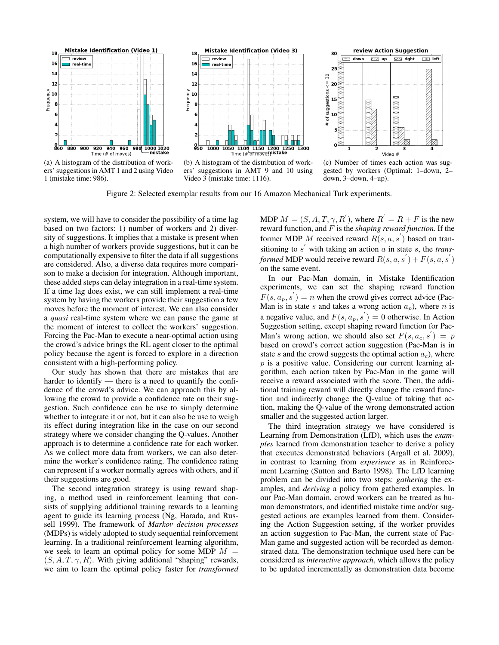

(a) A histogram of the distribution of workers' suggestions in AMT 1 and 2 using Video 1 (mistake time: 986).



(b) A histogram of the distribution of workers' suggestions in AMT 9 and 10 using Video 3 (mistake time: 1116).



(c) Number of times each action was suggested by workers (Optimal: 1–down, 2– down, 3–down, 4–up).

Figure 2: Selected exemplar results from our 16 Amazon Mechanical Turk experiments.

system, we will have to consider the possibility of a time lag based on two factors: 1) number of workers and 2) diversity of suggestions. It implies that a mistake is present when a high number of workers provide suggestions, but it can be computationally expensive to filter the data if all suggestions are considered. Also, a diverse data requires more comparison to make a decision for integration. Although important, these added steps can delay integration in a real-time system. If a time lag does exist, we can still implement a real-time system by having the workers provide their suggestion a few moves before the moment of interest. We can also consider a *quasi* real-time system where we can pause the game at the moment of interest to collect the workers' suggestion. Forcing the Pac-Man to execute a near-optimal action using the crowd's advice brings the RL agent closer to the optimal policy because the agent is forced to explore in a direction consistent with a high-performing policy.

Our study has shown that there are mistakes that are harder to identify — there is a need to quantify the confidence of the crowd's advice. We can approach this by allowing the crowd to provide a confidence rate on their suggestion. Such confidence can be use to simply determine whether to integrate it or not, but it can also be use to weigh its effect during integration like in the case on our second strategy where we consider changing the Q-values. Another approach is to determine a confidence rate for each worker. As we collect more data from workers, we can also determine the worker's confidence rating. The confidence rating can represent if a worker normally agrees with others, and if their suggestions are good.

The second integration strategy is using reward shaping, a method used in reinforcement learning that consists of supplying additional training rewards to a learning agent to guide its learning process (Ng, Harada, and Russell 1999). The framework of *Markov decision processes* (MDPs) is widely adopted to study sequential reinforcement learning. In a traditional reinforcement learning algorithm, we seek to learn an optimal policy for some MDP  $M =$  $(S, A, T, \gamma, R)$ . With giving additional "shaping" rewards, we aim to learn the optimal policy faster for *transformed*

MDP  $M = (S, A, T, \gamma, R)$ , where  $R' = R + F$  is the new reward function, and F is the *shaping reward function*. If the former MDP M received reward  $R(s, a, s')$  based on transitioning to  $s'$  with taking an action  $a$  in state  $s$ , the *transformed* MDP would receive reward  $R(s, a, s') + F(s, a, s')$ on the same event.

In our Pac-Man domain, in Mistake Identification experiments, we can set the shaping reward function  $F(s, a_p, s') = n$  when the crowd gives correct advice (Pac-Man is in state s and takes a wrong action  $a_p$ ), where n is a negative value, and  $F(s, a_p, s') = 0$  otherwise. In Action Suggestion setting, except shaping reward function for Pac-Man's wrong action, we should also set  $F(s, a_c, s') = p$ based on crowd's correct action suggestion (Pac-Man is in state s and the crowd suggests the optimal action  $a_c$ ), where  $p$  is a positive value. Considering our current learning algorithm, each action taken by Pac-Man in the game will receive a reward associated with the score. Then, the additional training reward will directly change the reward function and indirectly change the Q-value of taking that action, making the Q-value of the wrong demonstrated action smaller and the suggested action larger.

The third integration strategy we have considered is Learning from Demonstration (LfD), which uses the *examples* learned from demonstration teacher to derive a policy that executes demonstrated behaviors (Argall et al. 2009), in contrast to learning from *experience* as in Reinforcement Learning (Sutton and Barto 1998). The LfD learning problem can be divided into two steps: *gathering* the examples, and *deriving* a policy from gathered examples. In our Pac-Man domain, crowd workers can be treated as human demonstrators, and identified mistake time and/or suggested actions are examples learned from them. Considering the Action Suggestion setting, if the worker provides an action suggestion to Pac-Man, the current state of Pac-Man game and suggested action will be recorded as demonstrated data. The demonstration technique used here can be considered as *interactive approach*, which allows the policy to be updated incrementally as demonstration data become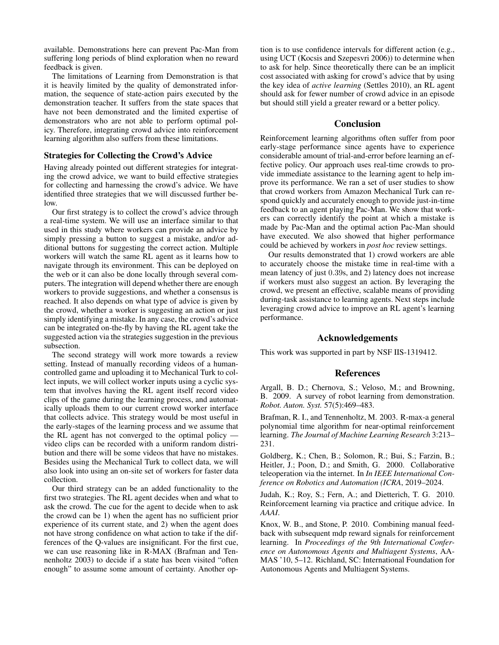available. Demonstrations here can prevent Pac-Man from suffering long periods of blind exploration when no reward feedback is given.

The limitations of Learning from Demonstration is that it is heavily limited by the quality of demonstrated information, the sequence of state-action pairs executed by the demonstration teacher. It suffers from the state spaces that have not been demonstrated and the limited expertise of demonstrators who are not able to perform optimal policy. Therefore, integrating crowd advice into reinforcement learning algorithm also suffers from these limitations.

## Strategies for Collecting the Crowd's Advice

Having already pointed out different strategies for integrating the crowd advice, we want to build effective strategies for collecting and harnessing the crowd's advice. We have identified three strategies that we will discussed further below.

Our first strategy is to collect the crowd's advice through a real-time system. We will use an interface similar to that used in this study where workers can provide an advice by simply pressing a button to suggest a mistake, and/or additional buttons for suggesting the correct action. Multiple workers will watch the same RL agent as it learns how to navigate through its environment. This can be deployed on the web or it can also be done locally through several computers. The integration will depend whether there are enough workers to provide suggestions, and whether a consensus is reached. It also depends on what type of advice is given by the crowd, whether a worker is suggesting an action or just simply identifying a mistake. In any case, the crowd's advice can be integrated on-the-fly by having the RL agent take the suggested action via the strategies suggestion in the previous subsection.

The second strategy will work more towards a review setting. Instead of manually recording videos of a humancontrolled game and uploading it to Mechanical Turk to collect inputs, we will collect worker inputs using a cyclic system that involves having the RL agent itself record video clips of the game during the learning process, and automatically uploads them to our current crowd worker interface that collects advice. This strategy would be most useful in the early-stages of the learning process and we assume that the RL agent has not converged to the optimal policy video clips can be recorded with a uniform random distribution and there will be some videos that have no mistakes. Besides using the Mechanical Turk to collect data, we will also look into using an on-site set of workers for faster data collection.

Our third strategy can be an added functionality to the first two strategies. The RL agent decides when and what to ask the crowd. The cue for the agent to decide when to ask the crowd can be 1) when the agent has no sufficient prior experience of its current state, and 2) when the agent does not have strong confidence on what action to take if the differences of the Q-values are insignificant. For the first cue, we can use reasoning like in R-MAX (Brafman and Tennenholtz 2003) to decide if a state has been visited "often enough" to assume some amount of certainty. Another op-

tion is to use confidence intervals for different action (e.g., using UCT (Kocsis and Szepesvri 2006)) to determine when to ask for help. Since theoretically there can be an implicit cost associated with asking for crowd's advice that by using the key idea of *active learning* (Settles 2010), an RL agent should ask for fewer number of crowd advice in an episode but should still yield a greater reward or a better policy.

### Conclusion

Reinforcement learning algorithms often suffer from poor early-stage performance since agents have to experience considerable amount of trial-and-error before learning an effective policy. Our approach uses real-time crowds to provide immediate assistance to the learning agent to help improve its performance. We ran a set of user studies to show that crowd workers from Amazon Mechanical Turk can respond quickly and accurately enough to provide just-in-time feedback to an agent playing Pac-Man. We show that workers can correctly identify the point at which a mistake is made by Pac-Man and the optimal action Pac-Man should have executed. We also showed that higher performance could be achieved by workers in *post hoc* review settings.

Our results demonstrated that 1) crowd workers are able to accurately choose the mistake time in real-time with a mean latency of just 0.39s, and 2) latency does not increase if workers must also suggest an action. By leveraging the crowd, we present an effective, scalable means of providing during-task assistance to learning agents. Next steps include leveraging crowd advice to improve an RL agent's learning performance.

## Acknowledgements

This work was supported in part by NSF IIS-1319412.

# References

Argall, B. D.; Chernova, S.; Veloso, M.; and Browning, B. 2009. A survey of robot learning from demonstration. *Robot. Auton. Syst.* 57(5):469–483.

Brafman, R. I., and Tennenholtz, M. 2003. R-max-a general polynomial time algorithm for near-optimal reinforcement learning. *The Journal of Machine Learning Research* 3:213– 231.

Goldberg, K.; Chen, B.; Solomon, R.; Bui, S.; Farzin, B.; Heitler, J.; Poon, D.; and Smith, G. 2000. Collaborative teleoperation via the internet. In *In IEEE International Conference on Robotics and Automation (ICRA*, 2019–2024.

Judah, K.; Roy, S.; Fern, A.; and Dietterich, T. G. 2010. Reinforcement learning via practice and critique advice. In *AAAI*.

Knox, W. B., and Stone, P. 2010. Combining manual feedback with subsequent mdp reward signals for reinforcement learning. In *Proceedings of the 9th International Conference on Autonomous Agents and Multiagent Systems*, AA-MAS '10, 5–12. Richland, SC: International Foundation for Autonomous Agents and Multiagent Systems.